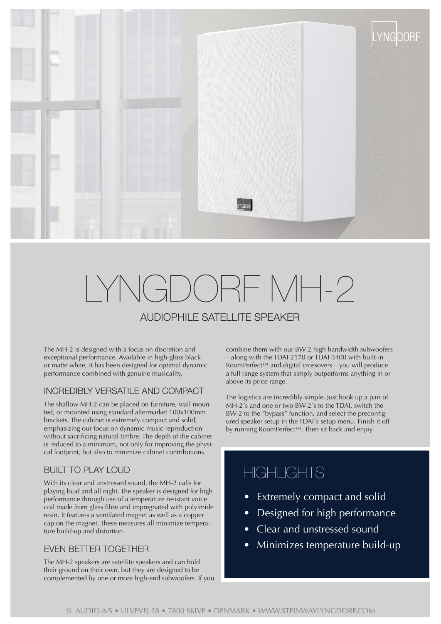

# LYNGDORF MH-2 AUDIOPHILE SATELLITE SPEAKER

The MH-2 is designed with a focus on discretion and exceptional performance. Available in high-gloss black or matte white, it has been designed for optimal dynamic

INCREDIBLY VERSATILE AND COMPACT

performance combined with genuine musicality.

The shallow MH-2 can be placed on furniture, wall mounted, or mounted using standard aftermarket 100x100mm brackets. The cabinet is extremely compact and solid, emphasizing our focus on dynamic music reproduction without sacrificing natural timbre. The depth of the cabinet is reduced to a minimum, not only for improving the physical footprint, but also to minimize cabinet contributions.

#### BUILT TO PLAY LOUD

With its clear and unstressed sound, the MH-2 calls for playing loud and all night. The speaker is designed for high performance through use of a temperature resistant voice coil made from glass fibre and impregnated with polyimide resin. It features a ventilated magnet as well as a copper cap on the magnet. These measures all minimize temperature build-up and distortion.

### EVEN BETTER TOGETHER

The MH-2 speakers are satellite speakers and can hold their ground on their own, but they are designed to be complemented by one or more high-end subwoofers. If you combine them with our BW-2 high bandwidth subwoofers – along with the TDAI-2170 or TDAI-3400 with built-in RoomPerfect™ and digital crossovers – you will produce a full range system that simply outperforms anything in or above its price range.

The logistics are incredibly simple. Just hook up a pair of MH-2´s and one or two BW-2´s to the TDAI, switch the BW-2 to the "bypass" function, and select the preconfigured speaker setup in the TDAI´s setup menu. Finish it off by running RoomPerfect™. Then sit back and enjoy.

### **HIGHLIGHTS**

- Extremely compact and solid
- Designed for high performance
- Clear and unstressed sound
- Minimizes temperature build-up